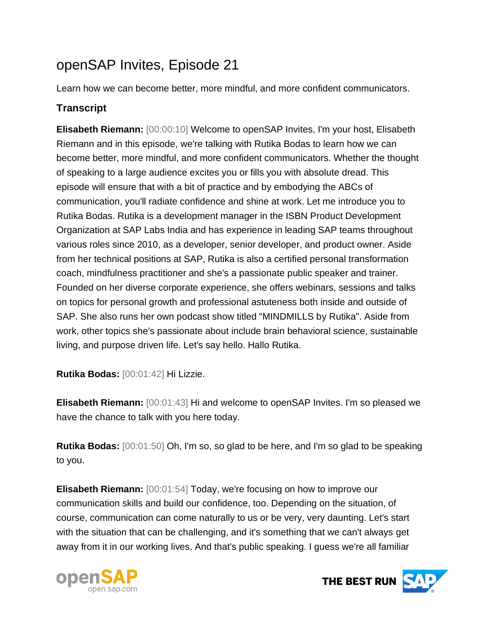## openSAP Invites, Episode 21

Learn how we can become better, more mindful, and more confident communicators.

## **Transcript**

**Elisabeth Riemann:** [00:00:10] Welcome to openSAP Invites, I'm your host, Elisabeth Riemann and in this episode, we're talking with Rutika Bodas to learn how we can become better, more mindful, and more confident communicators. Whether the thought of speaking to a large audience excites you or fills you with absolute dread. This episode will ensure that with a bit of practice and by embodying the ABCs of communication, you'll radiate confidence and shine at work. Let me introduce you to Rutika Bodas. Rutika is a development manager in the ISBN Product Development Organization at SAP Labs India and has experience in leading SAP teams throughout various roles since 2010, as a developer, senior developer, and product owner. Aside from her technical positions at SAP, Rutika is also a certified personal transformation coach, mindfulness practitioner and she's a passionate public speaker and trainer. Founded on her diverse corporate experience, she offers webinars, sessions and talks on topics for personal growth and professional astuteness both inside and outside of SAP. She also runs her own podcast show titled "MINDMILLS by Rutika". Aside from work, other topics she's passionate about include brain behavioral science, sustainable living, and purpose driven life. Let's say hello. Hallo Rutika.

**Rutika Bodas:** [00:01:42] Hi Lizzie.

**Elisabeth Riemann:** [00:01:43] Hi and welcome to openSAP Invites. I'm so pleased we have the chance to talk with you here today.

**Rutika Bodas:** [00:01:50] Oh, I'm so, so glad to be here, and I'm so glad to be speaking to you.

**Elisabeth Riemann:** [00:01:54] Today, we're focusing on how to improve our communication skills and build our confidence, too. Depending on the situation, of course, communication can come naturally to us or be very, very daunting. Let's start with the situation that can be challenging, and it's something that we can't always get away from it in our working lives. And that's public speaking. I guess we're all familiar



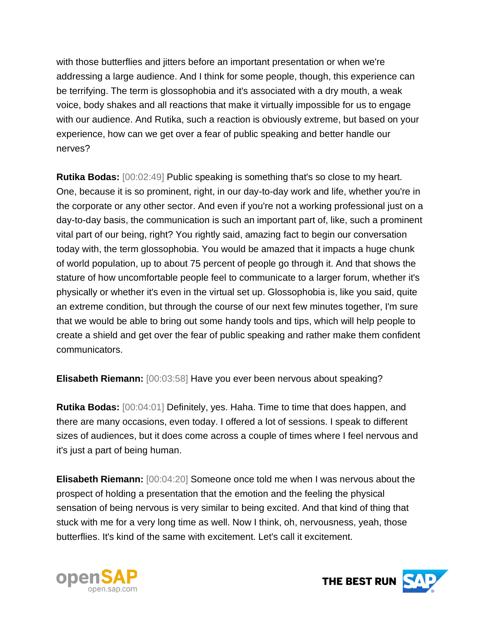with those butterflies and jitters before an important presentation or when we're addressing a large audience. And I think for some people, though, this experience can be terrifying. The term is glossophobia and it's associated with a dry mouth, a weak voice, body shakes and all reactions that make it virtually impossible for us to engage with our audience. And Rutika, such a reaction is obviously extreme, but based on your experience, how can we get over a fear of public speaking and better handle our nerves?

**Rutika Bodas:** [00:02:49] Public speaking is something that's so close to my heart. One, because it is so prominent, right, in our day-to-day work and life, whether you're in the corporate or any other sector. And even if you're not a working professional just on a day-to-day basis, the communication is such an important part of, like, such a prominent vital part of our being, right? You rightly said, amazing fact to begin our conversation today with, the term glossophobia. You would be amazed that it impacts a huge chunk of world population, up to about 75 percent of people go through it. And that shows the stature of how uncomfortable people feel to communicate to a larger forum, whether it's physically or whether it's even in the virtual set up. Glossophobia is, like you said, quite an extreme condition, but through the course of our next few minutes together, I'm sure that we would be able to bring out some handy tools and tips, which will help people to create a shield and get over the fear of public speaking and rather make them confident communicators.

**Elisabeth Riemann:** [00:03:58] Have you ever been nervous about speaking?

**Rutika Bodas:** [00:04:01] Definitely, yes. Haha. Time to time that does happen, and there are many occasions, even today. I offered a lot of sessions. I speak to different sizes of audiences, but it does come across a couple of times where I feel nervous and it's just a part of being human.

**Elisabeth Riemann:** [00:04:20] Someone once told me when I was nervous about the prospect of holding a presentation that the emotion and the feeling the physical sensation of being nervous is very similar to being excited. And that kind of thing that stuck with me for a very long time as well. Now I think, oh, nervousness, yeah, those butterflies. It's kind of the same with excitement. Let's call it excitement.



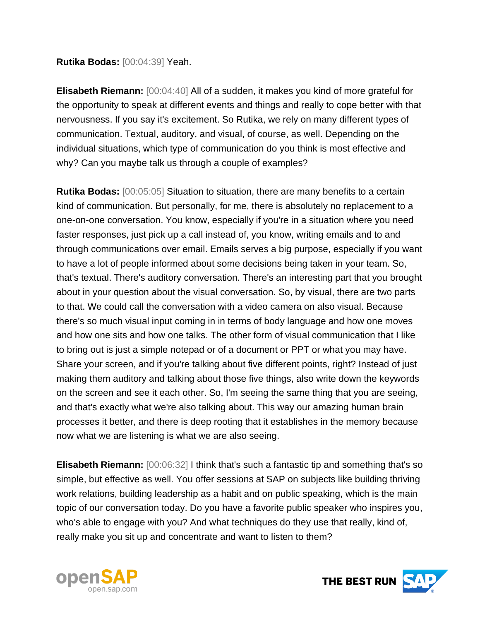## **Rutika Bodas:** [00:04:39] Yeah.

**Elisabeth Riemann:** [00:04:40] All of a sudden, it makes you kind of more grateful for the opportunity to speak at different events and things and really to cope better with that nervousness. If you say it's excitement. So Rutika, we rely on many different types of communication. Textual, auditory, and visual, of course, as well. Depending on the individual situations, which type of communication do you think is most effective and why? Can you maybe talk us through a couple of examples?

**Rutika Bodas:** [00:05:05] Situation to situation, there are many benefits to a certain kind of communication. But personally, for me, there is absolutely no replacement to a one-on-one conversation. You know, especially if you're in a situation where you need faster responses, just pick up a call instead of, you know, writing emails and to and through communications over email. Emails serves a big purpose, especially if you want to have a lot of people informed about some decisions being taken in your team. So, that's textual. There's auditory conversation. There's an interesting part that you brought about in your question about the visual conversation. So, by visual, there are two parts to that. We could call the conversation with a video camera on also visual. Because there's so much visual input coming in in terms of body language and how one moves and how one sits and how one talks. The other form of visual communication that I like to bring out is just a simple notepad or of a document or PPT or what you may have. Share your screen, and if you're talking about five different points, right? Instead of just making them auditory and talking about those five things, also write down the keywords on the screen and see it each other. So, I'm seeing the same thing that you are seeing, and that's exactly what we're also talking about. This way our amazing human brain processes it better, and there is deep rooting that it establishes in the memory because now what we are listening is what we are also seeing.

**Elisabeth Riemann:** [00:06:32] I think that's such a fantastic tip and something that's so simple, but effective as well. You offer sessions at SAP on subjects like building thriving work relations, building leadership as a habit and on public speaking, which is the main topic of our conversation today. Do you have a favorite public speaker who inspires you, who's able to engage with you? And what techniques do they use that really, kind of, really make you sit up and concentrate and want to listen to them?



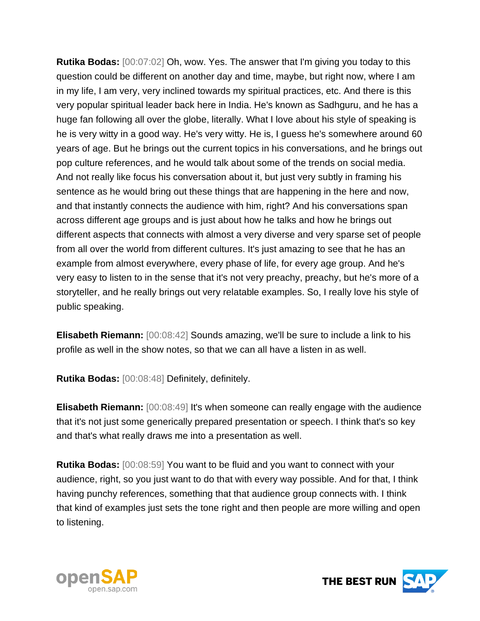**Rutika Bodas:** [00:07:02] Oh, wow. Yes. The answer that I'm giving you today to this question could be different on another day and time, maybe, but right now, where I am in my life, I am very, very inclined towards my spiritual practices, etc. And there is this very popular spiritual leader back here in India. He's known as Sadhguru, and he has a huge fan following all over the globe, literally. What I love about his style of speaking is he is very witty in a good way. He's very witty. He is, I guess he's somewhere around 60 years of age. But he brings out the current topics in his conversations, and he brings out pop culture references, and he would talk about some of the trends on social media. And not really like focus his conversation about it, but just very subtly in framing his sentence as he would bring out these things that are happening in the here and now, and that instantly connects the audience with him, right? And his conversations span across different age groups and is just about how he talks and how he brings out different aspects that connects with almost a very diverse and very sparse set of people from all over the world from different cultures. It's just amazing to see that he has an example from almost everywhere, every phase of life, for every age group. And he's very easy to listen to in the sense that it's not very preachy, preachy, but he's more of a storyteller, and he really brings out very relatable examples. So, I really love his style of public speaking.

**Elisabeth Riemann:** [00:08:42] Sounds amazing, we'll be sure to include a link to his profile as well in the show notes, so that we can all have a listen in as well.

**Rutika Bodas:** [00:08:48] Definitely, definitely.

**Elisabeth Riemann:** [00:08:49] It's when someone can really engage with the audience that it's not just some generically prepared presentation or speech. I think that's so key and that's what really draws me into a presentation as well.

**Rutika Bodas:** [00:08:59] You want to be fluid and you want to connect with your audience, right, so you just want to do that with every way possible. And for that, I think having punchy references, something that that audience group connects with. I think that kind of examples just sets the tone right and then people are more willing and open to listening.



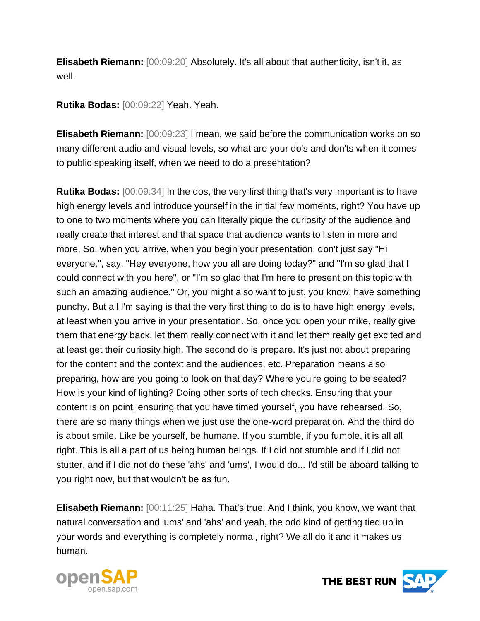**Elisabeth Riemann:** [00:09:20] Absolutely. It's all about that authenticity, isn't it, as well.

**Rutika Bodas:** [00:09:22] Yeah. Yeah.

**Elisabeth Riemann:** [00:09:23] I mean, we said before the communication works on so many different audio and visual levels, so what are your do's and don'ts when it comes to public speaking itself, when we need to do a presentation?

**Rutika Bodas:** [00:09:34] In the dos, the very first thing that's very important is to have high energy levels and introduce yourself in the initial few moments, right? You have up to one to two moments where you can literally pique the curiosity of the audience and really create that interest and that space that audience wants to listen in more and more. So, when you arrive, when you begin your presentation, don't just say "Hi everyone.", say, "Hey everyone, how you all are doing today?" and "I'm so glad that I could connect with you here", or "I'm so glad that I'm here to present on this topic with such an amazing audience." Or, you might also want to just, you know, have something punchy. But all I'm saying is that the very first thing to do is to have high energy levels, at least when you arrive in your presentation. So, once you open your mike, really give them that energy back, let them really connect with it and let them really get excited and at least get their curiosity high. The second do is prepare. It's just not about preparing for the content and the context and the audiences, etc. Preparation means also preparing, how are you going to look on that day? Where you're going to be seated? How is your kind of lighting? Doing other sorts of tech checks. Ensuring that your content is on point, ensuring that you have timed yourself, you have rehearsed. So, there are so many things when we just use the one-word preparation. And the third do is about smile. Like be yourself, be humane. If you stumble, if you fumble, it is all all right. This is all a part of us being human beings. If I did not stumble and if I did not stutter, and if I did not do these 'ahs' and 'ums', I would do... I'd still be aboard talking to you right now, but that wouldn't be as fun.

**Elisabeth Riemann:** [00:11:25] Haha. That's true. And I think, you know, we want that natural conversation and 'ums' and 'ahs' and yeah, the odd kind of getting tied up in your words and everything is completely normal, right? We all do it and it makes us human.



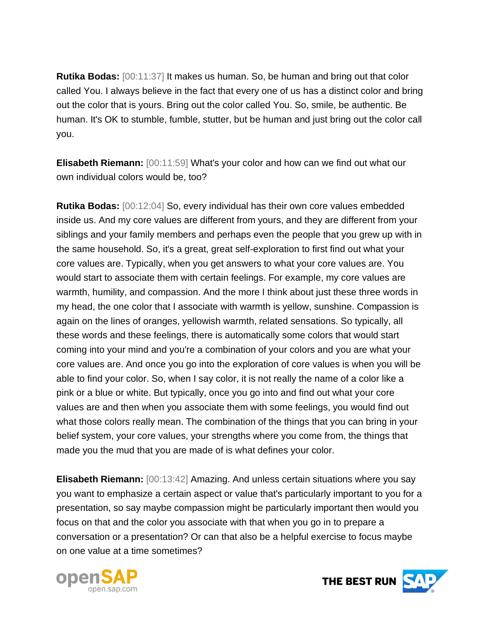**Rutika Bodas:** [00:11:37] It makes us human. So, be human and bring out that color called You. I always believe in the fact that every one of us has a distinct color and bring out the color that is yours. Bring out the color called You. So, smile, be authentic. Be human. It's OK to stumble, fumble, stutter, but be human and just bring out the color call you.

**Elisabeth Riemann:** [00:11:59] What's your color and how can we find out what our own individual colors would be, too?

**Rutika Bodas:** [00:12:04] So, every individual has their own core values embedded inside us. And my core values are different from yours, and they are different from your siblings and your family members and perhaps even the people that you grew up with in the same household. So, it's a great, great self-exploration to first find out what your core values are. Typically, when you get answers to what your core values are. You would start to associate them with certain feelings. For example, my core values are warmth, humility, and compassion. And the more I think about just these three words in my head, the one color that I associate with warmth is yellow, sunshine. Compassion is again on the lines of oranges, yellowish warmth, related sensations. So typically, all these words and these feelings, there is automatically some colors that would start coming into your mind and you're a combination of your colors and you are what your core values are. And once you go into the exploration of core values is when you will be able to find your color. So, when I say color, it is not really the name of a color like a pink or a blue or white. But typically, once you go into and find out what your core values are and then when you associate them with some feelings, you would find out what those colors really mean. The combination of the things that you can bring in your belief system, your core values, your strengths where you come from, the things that made you the mud that you are made of is what defines your color.

**Elisabeth Riemann:** [00:13:42] Amazing. And unless certain situations where you say you want to emphasize a certain aspect or value that's particularly important to you for a presentation, so say maybe compassion might be particularly important then would you focus on that and the color you associate with that when you go in to prepare a conversation or a presentation? Or can that also be a helpful exercise to focus maybe on one value at a time sometimes?



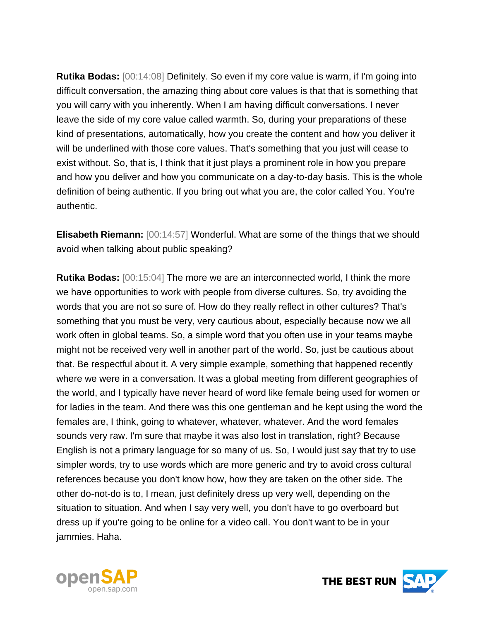**Rutika Bodas:** [00:14:08] Definitely. So even if my core value is warm, if I'm going into difficult conversation, the amazing thing about core values is that that is something that you will carry with you inherently. When I am having difficult conversations. I never leave the side of my core value called warmth. So, during your preparations of these kind of presentations, automatically, how you create the content and how you deliver it will be underlined with those core values. That's something that you just will cease to exist without. So, that is, I think that it just plays a prominent role in how you prepare and how you deliver and how you communicate on a day-to-day basis. This is the whole definition of being authentic. If you bring out what you are, the color called You. You're authentic.

**Elisabeth Riemann:** [00:14:57] Wonderful. What are some of the things that we should avoid when talking about public speaking?

**Rutika Bodas:** [00:15:04] The more we are an interconnected world, I think the more we have opportunities to work with people from diverse cultures. So, try avoiding the words that you are not so sure of. How do they really reflect in other cultures? That's something that you must be very, very cautious about, especially because now we all work often in global teams. So, a simple word that you often use in your teams maybe might not be received very well in another part of the world. So, just be cautious about that. Be respectful about it. A very simple example, something that happened recently where we were in a conversation. It was a global meeting from different geographies of the world, and I typically have never heard of word like female being used for women or for ladies in the team. And there was this one gentleman and he kept using the word the females are, I think, going to whatever, whatever, whatever. And the word females sounds very raw. I'm sure that maybe it was also lost in translation, right? Because English is not a primary language for so many of us. So, I would just say that try to use simpler words, try to use words which are more generic and try to avoid cross cultural references because you don't know how, how they are taken on the other side. The other do-not-do is to, I mean, just definitely dress up very well, depending on the situation to situation. And when I say very well, you don't have to go overboard but dress up if you're going to be online for a video call. You don't want to be in your jammies. Haha.



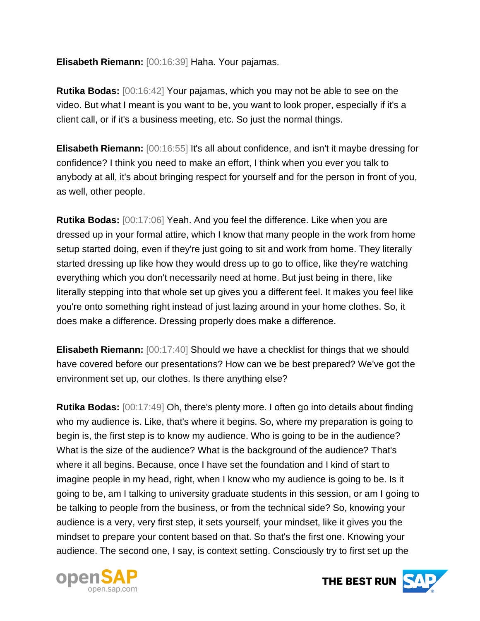**Elisabeth Riemann:** [00:16:39] Haha. Your pajamas.

**Rutika Bodas:** [00:16:42] Your pajamas, which you may not be able to see on the video. But what I meant is you want to be, you want to look proper, especially if it's a client call, or if it's a business meeting, etc. So just the normal things.

**Elisabeth Riemann:** [00:16:55] It's all about confidence, and isn't it maybe dressing for confidence? I think you need to make an effort, I think when you ever you talk to anybody at all, it's about bringing respect for yourself and for the person in front of you, as well, other people.

**Rutika Bodas:** [00:17:06] Yeah. And you feel the difference. Like when you are dressed up in your formal attire, which I know that many people in the work from home setup started doing, even if they're just going to sit and work from home. They literally started dressing up like how they would dress up to go to office, like they're watching everything which you don't necessarily need at home. But just being in there, like literally stepping into that whole set up gives you a different feel. It makes you feel like you're onto something right instead of just lazing around in your home clothes. So, it does make a difference. Dressing properly does make a difference.

**Elisabeth Riemann:** [00:17:40] Should we have a checklist for things that we should have covered before our presentations? How can we be best prepared? We've got the environment set up, our clothes. Is there anything else?

**Rutika Bodas:** [00:17:49] Oh, there's plenty more. I often go into details about finding who my audience is. Like, that's where it begins. So, where my preparation is going to begin is, the first step is to know my audience. Who is going to be in the audience? What is the size of the audience? What is the background of the audience? That's where it all begins. Because, once I have set the foundation and I kind of start to imagine people in my head, right, when I know who my audience is going to be. Is it going to be, am I talking to university graduate students in this session, or am I going to be talking to people from the business, or from the technical side? So, knowing your audience is a very, very first step, it sets yourself, your mindset, like it gives you the mindset to prepare your content based on that. So that's the first one. Knowing your audience. The second one, I say, is context setting. Consciously try to first set up the



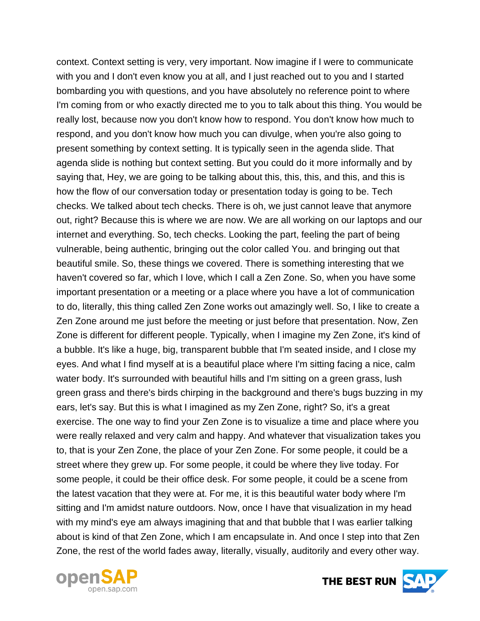context. Context setting is very, very important. Now imagine if I were to communicate with you and I don't even know you at all, and I just reached out to you and I started bombarding you with questions, and you have absolutely no reference point to where I'm coming from or who exactly directed me to you to talk about this thing. You would be really lost, because now you don't know how to respond. You don't know how much to respond, and you don't know how much you can divulge, when you're also going to present something by context setting. It is typically seen in the agenda slide. That agenda slide is nothing but context setting. But you could do it more informally and by saying that, Hey, we are going to be talking about this, this, this, and this, and this is how the flow of our conversation today or presentation today is going to be. Tech checks. We talked about tech checks. There is oh, we just cannot leave that anymore out, right? Because this is where we are now. We are all working on our laptops and our internet and everything. So, tech checks. Looking the part, feeling the part of being vulnerable, being authentic, bringing out the color called You. and bringing out that beautiful smile. So, these things we covered. There is something interesting that we haven't covered so far, which I love, which I call a Zen Zone. So, when you have some important presentation or a meeting or a place where you have a lot of communication to do, literally, this thing called Zen Zone works out amazingly well. So, I like to create a Zen Zone around me just before the meeting or just before that presentation. Now, Zen Zone is different for different people. Typically, when I imagine my Zen Zone, it's kind of a bubble. It's like a huge, big, transparent bubble that I'm seated inside, and I close my eyes. And what I find myself at is a beautiful place where I'm sitting facing a nice, calm water body. It's surrounded with beautiful hills and I'm sitting on a green grass, lush green grass and there's birds chirping in the background and there's bugs buzzing in my ears, let's say. But this is what I imagined as my Zen Zone, right? So, it's a great exercise. The one way to find your Zen Zone is to visualize a time and place where you were really relaxed and very calm and happy. And whatever that visualization takes you to, that is your Zen Zone, the place of your Zen Zone. For some people, it could be a street where they grew up. For some people, it could be where they live today. For some people, it could be their office desk. For some people, it could be a scene from the latest vacation that they were at. For me, it is this beautiful water body where I'm sitting and I'm amidst nature outdoors. Now, once I have that visualization in my head with my mind's eye am always imagining that and that bubble that I was earlier talking about is kind of that Zen Zone, which I am encapsulate in. And once I step into that Zen Zone, the rest of the world fades away, literally, visually, auditorily and every other way.



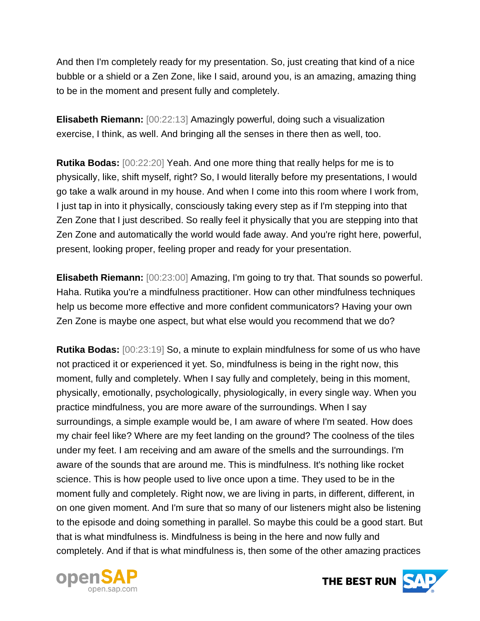And then I'm completely ready for my presentation. So, just creating that kind of a nice bubble or a shield or a Zen Zone, like I said, around you, is an amazing, amazing thing to be in the moment and present fully and completely.

**Elisabeth Riemann:** [00:22:13] Amazingly powerful, doing such a visualization exercise, I think, as well. And bringing all the senses in there then as well, too.

**Rutika Bodas:** [00:22:20] Yeah. And one more thing that really helps for me is to physically, like, shift myself, right? So, I would literally before my presentations, I would go take a walk around in my house. And when I come into this room where I work from, I just tap in into it physically, consciously taking every step as if I'm stepping into that Zen Zone that I just described. So really feel it physically that you are stepping into that Zen Zone and automatically the world would fade away. And you're right here, powerful, present, looking proper, feeling proper and ready for your presentation.

**Elisabeth Riemann:** [00:23:00] Amazing, I'm going to try that. That sounds so powerful. Haha. Rutika you're a mindfulness practitioner. How can other mindfulness techniques help us become more effective and more confident communicators? Having your own Zen Zone is maybe one aspect, but what else would you recommend that we do?

**Rutika Bodas:** [00:23:19] So, a minute to explain mindfulness for some of us who have not practiced it or experienced it yet. So, mindfulness is being in the right now, this moment, fully and completely. When I say fully and completely, being in this moment, physically, emotionally, psychologically, physiologically, in every single way. When you practice mindfulness, you are more aware of the surroundings. When I say surroundings, a simple example would be, I am aware of where I'm seated. How does my chair feel like? Where are my feet landing on the ground? The coolness of the tiles under my feet. I am receiving and am aware of the smells and the surroundings. I'm aware of the sounds that are around me. This is mindfulness. It's nothing like rocket science. This is how people used to live once upon a time. They used to be in the moment fully and completely. Right now, we are living in parts, in different, different, in on one given moment. And I'm sure that so many of our listeners might also be listening to the episode and doing something in parallel. So maybe this could be a good start. But that is what mindfulness is. Mindfulness is being in the here and now fully and completely. And if that is what mindfulness is, then some of the other amazing practices



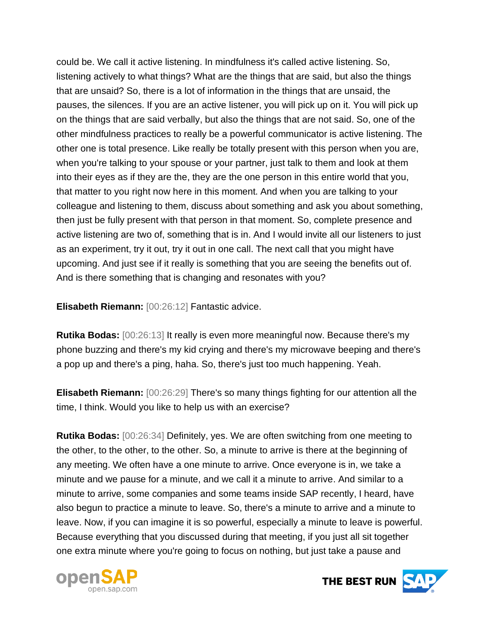could be. We call it active listening. In mindfulness it's called active listening. So, listening actively to what things? What are the things that are said, but also the things that are unsaid? So, there is a lot of information in the things that are unsaid, the pauses, the silences. If you are an active listener, you will pick up on it. You will pick up on the things that are said verbally, but also the things that are not said. So, one of the other mindfulness practices to really be a powerful communicator is active listening. The other one is total presence. Like really be totally present with this person when you are, when you're talking to your spouse or your partner, just talk to them and look at them into their eyes as if they are the, they are the one person in this entire world that you, that matter to you right now here in this moment. And when you are talking to your colleague and listening to them, discuss about something and ask you about something, then just be fully present with that person in that moment. So, complete presence and active listening are two of, something that is in. And I would invite all our listeners to just as an experiment, try it out, try it out in one call. The next call that you might have upcoming. And just see if it really is something that you are seeing the benefits out of. And is there something that is changing and resonates with you?

**Elisabeth Riemann:** [00:26:12] Fantastic advice.

**Rutika Bodas:** [00:26:13] It really is even more meaningful now. Because there's my phone buzzing and there's my kid crying and there's my microwave beeping and there's a pop up and there's a ping, haha. So, there's just too much happening. Yeah.

**Elisabeth Riemann:** [00:26:29] There's so many things fighting for our attention all the time, I think. Would you like to help us with an exercise?

**Rutika Bodas:** [00:26:34] Definitely, yes. We are often switching from one meeting to the other, to the other, to the other. So, a minute to arrive is there at the beginning of any meeting. We often have a one minute to arrive. Once everyone is in, we take a minute and we pause for a minute, and we call it a minute to arrive. And similar to a minute to arrive, some companies and some teams inside SAP recently, I heard, have also begun to practice a minute to leave. So, there's a minute to arrive and a minute to leave. Now, if you can imagine it is so powerful, especially a minute to leave is powerful. Because everything that you discussed during that meeting, if you just all sit together one extra minute where you're going to focus on nothing, but just take a pause and



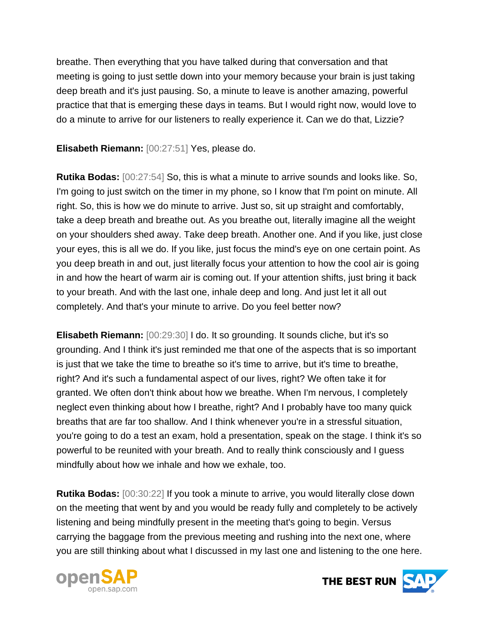breathe. Then everything that you have talked during that conversation and that meeting is going to just settle down into your memory because your brain is just taking deep breath and it's just pausing. So, a minute to leave is another amazing, powerful practice that that is emerging these days in teams. But I would right now, would love to do a minute to arrive for our listeners to really experience it. Can we do that, Lizzie?

**Elisabeth Riemann:** [00:27:51] Yes, please do.

**Rutika Bodas:** [00:27:54] So, this is what a minute to arrive sounds and looks like. So, I'm going to just switch on the timer in my phone, so I know that I'm point on minute. All right. So, this is how we do minute to arrive. Just so, sit up straight and comfortably, take a deep breath and breathe out. As you breathe out, literally imagine all the weight on your shoulders shed away. Take deep breath. Another one. And if you like, just close your eyes, this is all we do. If you like, just focus the mind's eye on one certain point. As you deep breath in and out, just literally focus your attention to how the cool air is going in and how the heart of warm air is coming out. If your attention shifts, just bring it back to your breath. And with the last one, inhale deep and long. And just let it all out completely. And that's your minute to arrive. Do you feel better now?

**Elisabeth Riemann:** [00:29:30] I do. It so grounding. It sounds cliche, but it's so grounding. And I think it's just reminded me that one of the aspects that is so important is just that we take the time to breathe so it's time to arrive, but it's time to breathe, right? And it's such a fundamental aspect of our lives, right? We often take it for granted. We often don't think about how we breathe. When I'm nervous, I completely neglect even thinking about how I breathe, right? And I probably have too many quick breaths that are far too shallow. And I think whenever you're in a stressful situation, you're going to do a test an exam, hold a presentation, speak on the stage. I think it's so powerful to be reunited with your breath. And to really think consciously and I guess mindfully about how we inhale and how we exhale, too.

**Rutika Bodas:** [00:30:22] If you took a minute to arrive, you would literally close down on the meeting that went by and you would be ready fully and completely to be actively listening and being mindfully present in the meeting that's going to begin. Versus carrying the baggage from the previous meeting and rushing into the next one, where you are still thinking about what I discussed in my last one and listening to the one here.



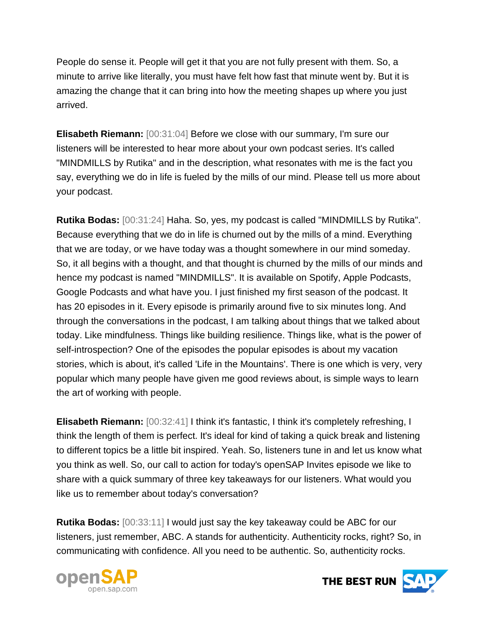People do sense it. People will get it that you are not fully present with them. So, a minute to arrive like literally, you must have felt how fast that minute went by. But it is amazing the change that it can bring into how the meeting shapes up where you just arrived.

**Elisabeth Riemann:** [00:31:04] Before we close with our summary, I'm sure our listeners will be interested to hear more about your own podcast series. It's called "MINDMILLS by Rutika" and in the description, what resonates with me is the fact you say, everything we do in life is fueled by the mills of our mind. Please tell us more about your podcast.

**Rutika Bodas:** [00:31:24] Haha. So, yes, my podcast is called "MINDMILLS by Rutika". Because everything that we do in life is churned out by the mills of a mind. Everything that we are today, or we have today was a thought somewhere in our mind someday. So, it all begins with a thought, and that thought is churned by the mills of our minds and hence my podcast is named "MINDMILLS". It is available on Spotify, Apple Podcasts, Google Podcasts and what have you. I just finished my first season of the podcast. It has 20 episodes in it. Every episode is primarily around five to six minutes long. And through the conversations in the podcast, I am talking about things that we talked about today. Like mindfulness. Things like building resilience. Things like, what is the power of self-introspection? One of the episodes the popular episodes is about my vacation stories, which is about, it's called 'Life in the Mountains'. There is one which is very, very popular which many people have given me good reviews about, is simple ways to learn the art of working with people.

**Elisabeth Riemann:** [00:32:41] I think it's fantastic, I think it's completely refreshing, I think the length of them is perfect. It's ideal for kind of taking a quick break and listening to different topics be a little bit inspired. Yeah. So, listeners tune in and let us know what you think as well. So, our call to action for today's openSAP Invites episode we like to share with a quick summary of three key takeaways for our listeners. What would you like us to remember about today's conversation?

**Rutika Bodas:** [00:33:11] I would just say the key takeaway could be ABC for our listeners, just remember, ABC. A stands for authenticity. Authenticity rocks, right? So, in communicating with confidence. All you need to be authentic. So, authenticity rocks.